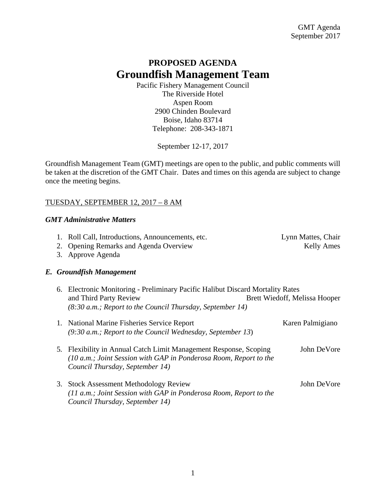# **PROPOSED AGENDA Groundfish Management Team**

Pacific Fishery Management Council The Riverside Hotel Aspen Room 2900 Chinden Boulevard Boise, Idaho 83714 Telephone: 208-343-1871

September 12-17, 2017

Groundfish Management Team (GMT) meetings are open to the public, and public comments will be taken at the discretion of the GMT Chair. Dates and times on this agenda are subject to change once the meeting begins.

## TUESDAY, SEPTEMBER 12, 2017 – 8 AM

## *GMT Administrative Matters*

- 1. Roll Call, Introductions, Announcements, etc. Lynn Mattes, Chair
- 2. Opening Remarks and Agenda Overview Theorem School and Kelly Ames

3. Approve Agenda

# *E. Groundfish Management*

- 6. Electronic Monitoring Preliminary Pacific Halibut Discard Mortality Rates and Third Party Review Brett Wiedoff, Melissa Hooper *(8:30 a.m.; Report to the Council Thursday, September 14)*
- 1. National Marine Fisheries Service Report **Karen Palmigiano** *(9:30 a.m.; Report to the Council Wednesday, September 13*)
- 5*.* Flexibility in Annual Catch Limit Management Response, Scoping John DeVore *(10 a.m.; Joint Session with GAP in Ponderosa Room, Report to the Council Thursday, September 14)*
- 3. Stock Assessment Methodology Review John DeVore *(11 a.m.; Joint Session with GAP in Ponderosa Room, Report to the Council Thursday, September 14)*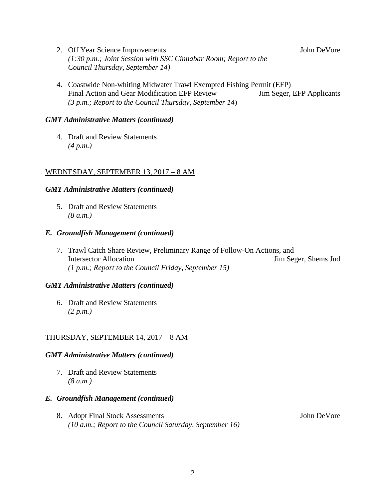- 2. Off Year Science Improvements **Solution** John DeVore *(1:30 p.m.; Joint Session with SSC Cinnabar Room; Report to the Council Thursday, September 14)*
- 4. Coastwide Non-whiting Midwater Trawl Exempted Fishing Permit (EFP) Final Action and Gear Modification EFP Review Jim Seger, EFP Applicants *(3 p.m.; Report to the Council Thursday, September 14*)

## *GMT Administrative Matters (continued)*

4. Draft and Review Statements *(4 p.m.)*

## WEDNESDAY, SEPTEMBER 13, 2017 – 8 AM

## *GMT Administrative Matters (continued)*

5. Draft and Review Statements *(8 a.m.)*

## *E. Groundfish Management (continued)*

7. Trawl Catch Share Review, Preliminary Range of Follow-On Actions, and Intersector Allocation Jim Seger, Shems Jud *(1 p.m.; Report to the Council Friday, September 15)*

## *GMT Administrative Matters (continued)*

6. Draft and Review Statements *(2 p.m.)*

# THURSDAY, SEPTEMBER 14, 2017 – 8 AM

## *GMT Administrative Matters (continued)*

7. Draft and Review Statements *(8 a.m.)*

## *E. Groundfish Management (continued)*

8. Adopt Final Stock Assessments John DeVore *(10 a.m.; Report to the Council Saturday, September 16)*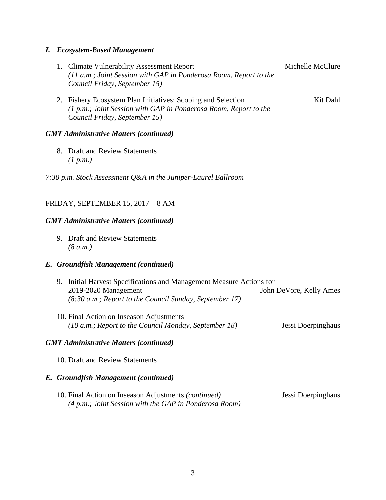#### *I. Ecosystem-Based Management*

- 1. Climate Vulnerability Assessment Report Michelle McClure *(11 a.m.; Joint Session with GAP in Ponderosa Room, Report to the Council Friday, September 15)*
- 2. Fishery Ecosystem Plan Initiatives: Scoping and Selection Kit Dahl *(1 p.m.; Joint Session with GAP in Ponderosa Room, Report to the Council Friday, September 15)*

#### *GMT Administrative Matters (continued)*

8. Draft and Review Statements *(1 p.m.)*

*7:30 p.m. Stock Assessment Q&A in the Juniper-Laurel Ballroom*

## FRIDAY, SEPTEMBER 15, 2017 – 8 AM

#### *GMT Administrative Matters (continued)*

9. Draft and Review Statements *(8 a.m.)*

#### *E. Groundfish Management (continued)*

| 9. Initial Harvest Specifications and Management Measure Actions for |                         |
|----------------------------------------------------------------------|-------------------------|
| $2019 - 2020$ Management                                             | John DeVore, Kelly Ames |
| $(8:30 \text{ a.m.};$ Report to the Council Sunday, September 17)    |                         |

10. Final Action on Inseason Adjustments *(10 a.m.; Report to the Council Monday, September 18)* Jessi Doerpinghaus

#### *GMT Administrative Matters (continued)*

10. Draft and Review Statements

#### *E. Groundfish Management (continued)*

10. Final Action on Inseason Adjustments *(continued)* Jessi Doerpinghaus *(4 p.m.; Joint Session with the GAP in Ponderosa Room)*